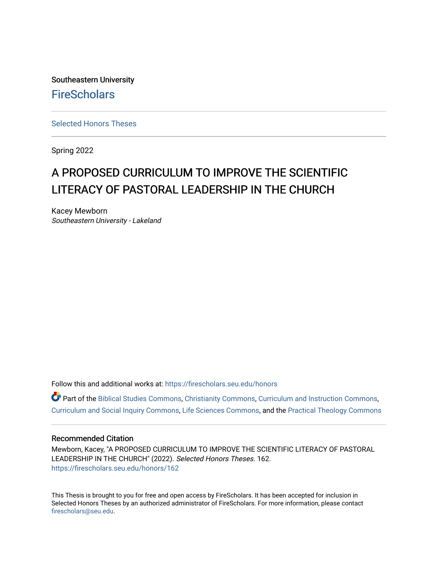Southeastern University **FireScholars** 

[Selected Honors Theses](https://firescholars.seu.edu/honors)

Spring 2022

# A PROPOSED CURRICULUM TO IMPROVE THE SCIENTIFIC LITERACY OF PASTORAL LEADERSHIP IN THE CHURCH

Kacey Mewborn Southeastern University - Lakeland

Follow this and additional works at: [https://firescholars.seu.edu/honors](https://firescholars.seu.edu/honors?utm_source=firescholars.seu.edu%2Fhonors%2F162&utm_medium=PDF&utm_campaign=PDFCoverPages)

Part of the [Biblical Studies Commons,](https://network.bepress.com/hgg/discipline/539?utm_source=firescholars.seu.edu%2Fhonors%2F162&utm_medium=PDF&utm_campaign=PDFCoverPages) [Christianity Commons,](https://network.bepress.com/hgg/discipline/1181?utm_source=firescholars.seu.edu%2Fhonors%2F162&utm_medium=PDF&utm_campaign=PDFCoverPages) [Curriculum and Instruction Commons,](https://network.bepress.com/hgg/discipline/786?utm_source=firescholars.seu.edu%2Fhonors%2F162&utm_medium=PDF&utm_campaign=PDFCoverPages) [Curriculum and Social Inquiry Commons,](https://network.bepress.com/hgg/discipline/1038?utm_source=firescholars.seu.edu%2Fhonors%2F162&utm_medium=PDF&utm_campaign=PDFCoverPages) [Life Sciences Commons,](https://network.bepress.com/hgg/discipline/1016?utm_source=firescholars.seu.edu%2Fhonors%2F162&utm_medium=PDF&utm_campaign=PDFCoverPages) and the [Practical Theology Commons](https://network.bepress.com/hgg/discipline/1186?utm_source=firescholars.seu.edu%2Fhonors%2F162&utm_medium=PDF&utm_campaign=PDFCoverPages) 

## Recommended Citation

Mewborn, Kacey, "A PROPOSED CURRICULUM TO IMPROVE THE SCIENTIFIC LITERACY OF PASTORAL LEADERSHIP IN THE CHURCH" (2022). Selected Honors Theses. 162. [https://firescholars.seu.edu/honors/162](https://firescholars.seu.edu/honors/162?utm_source=firescholars.seu.edu%2Fhonors%2F162&utm_medium=PDF&utm_campaign=PDFCoverPages)

This Thesis is brought to you for free and open access by FireScholars. It has been accepted for inclusion in Selected Honors Theses by an authorized administrator of FireScholars. For more information, please contact [firescholars@seu.edu.](mailto:firescholars@seu.edu)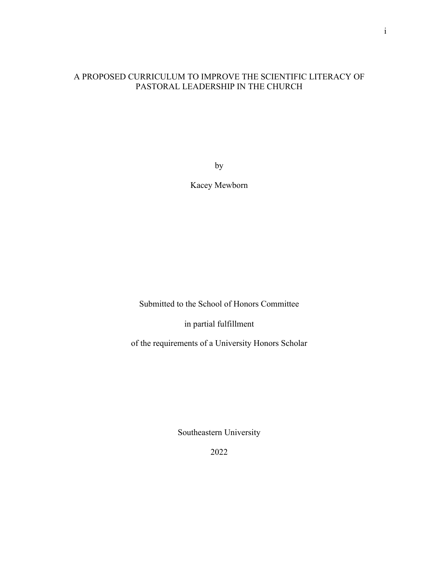## A PROPOSED CURRICULUM TO IMPROVE THE SCIENTIFIC LITERACY OF PASTORAL LEADERSHIP IN THE CHURCH

by

Kacey Mewborn

Submitted to the School of Honors Committee

in partial fulfillment

of the requirements of a University Honors Scholar

Southeastern University

2022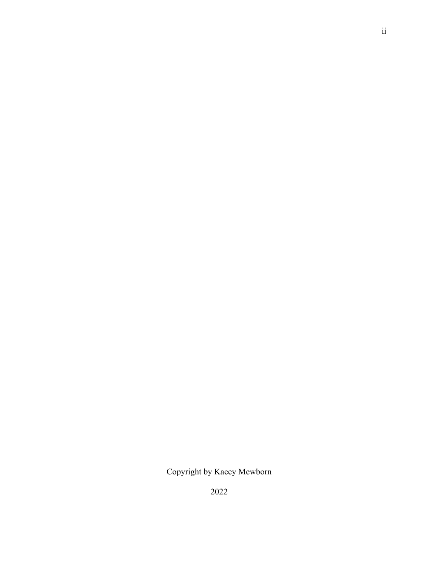Copyright by Kacey Mewborn

2022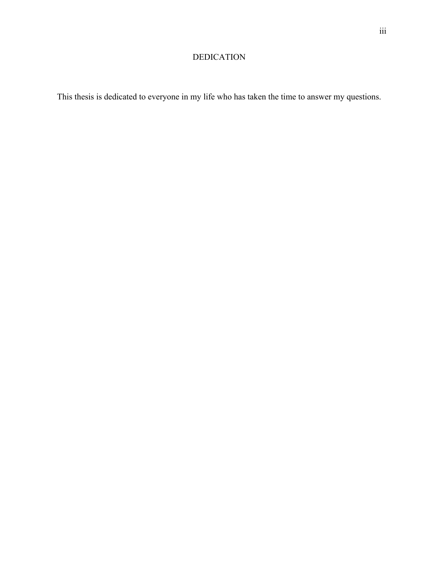## DEDICATION

This thesis is dedicated to everyone in my life who has taken the time to answer my questions.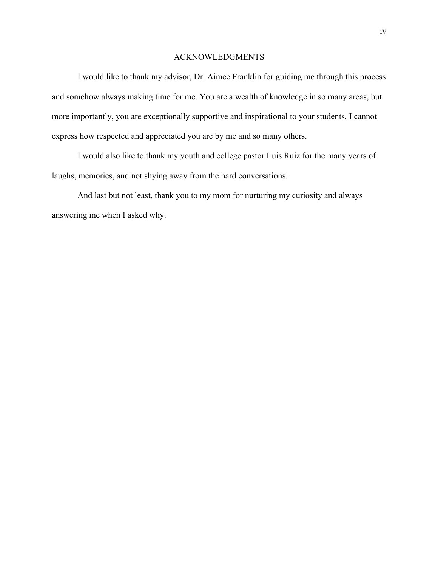## ACKNOWLEDGMENTS

I would like to thank my advisor, Dr. Aimee Franklin for guiding me through this process and somehow always making time for me. You are a wealth of knowledge in so many areas, but more importantly, you are exceptionally supportive and inspirational to your students. I cannot express how respected and appreciated you are by me and so many others.

I would also like to thank my youth and college pastor Luis Ruiz for the many years of laughs, memories, and not shying away from the hard conversations.

And last but not least, thank you to my mom for nurturing my curiosity and always answering me when I asked why.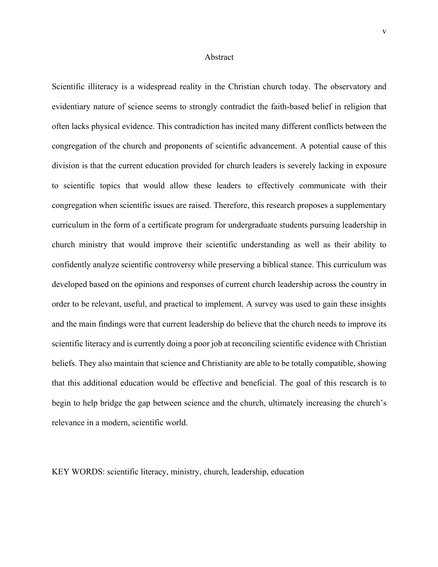#### Abstract

Scientific illiteracy is a widespread reality in the Christian church today. The observatory and evidentiary nature of science seems to strongly contradict the faith-based belief in religion that often lacks physical evidence. This contradiction has incited many different conflicts between the congregation of the church and proponents of scientific advancement. A potential cause of this division is that the current education provided for church leaders is severely lacking in exposure to scientific topics that would allow these leaders to effectively communicate with their congregation when scientific issues are raised. Therefore, this research proposes a supplementary curriculum in the form of a certificate program for undergraduate students pursuing leadership in church ministry that would improve their scientific understanding as well as their ability to confidently analyze scientific controversy while preserving a biblical stance. This curriculum was developed based on the opinions and responses of current church leadership across the country in order to be relevant, useful, and practical to implement. A survey was used to gain these insights and the main findings were that current leadership do believe that the church needs to improve its scientific literacy and is currently doing a poor job at reconciling scientific evidence with Christian beliefs. They also maintain that science and Christianity are able to be totally compatible, showing that this additional education would be effective and beneficial. The goal of this research is to begin to help bridge the gap between science and the church, ultimately increasing the church's relevance in a modern, scientific world.

KEY WORDS: scientific literacy, ministry, church, leadership, education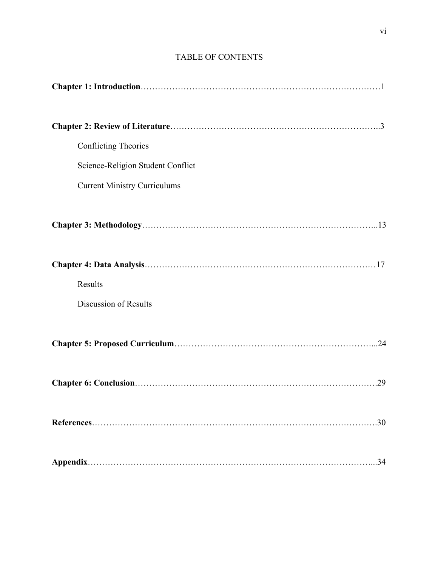| <b>Conflicting Theories</b>         |
|-------------------------------------|
| Science-Religion Student Conflict   |
| <b>Current Ministry Curriculums</b> |
|                                     |
|                                     |
| Results                             |
| Discussion of Results               |
|                                     |
|                                     |
| .30                                 |
| .34                                 |

## TABLE OF CONTENTS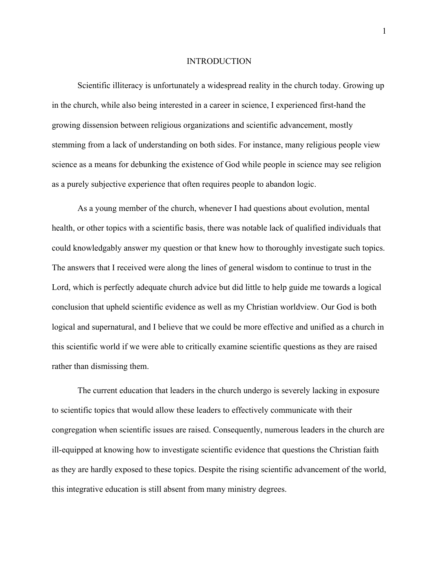#### INTRODUCTION

Scientific illiteracy is unfortunately a widespread reality in the church today. Growing up in the church, while also being interested in a career in science, I experienced first-hand the growing dissension between religious organizations and scientific advancement, mostly stemming from a lack of understanding on both sides. For instance, many religious people view science as a means for debunking the existence of God while people in science may see religion as a purely subjective experience that often requires people to abandon logic.

As a young member of the church, whenever I had questions about evolution, mental health, or other topics with a scientific basis, there was notable lack of qualified individuals that could knowledgably answer my question or that knew how to thoroughly investigate such topics. The answers that I received were along the lines of general wisdom to continue to trust in the Lord, which is perfectly adequate church advice but did little to help guide me towards a logical conclusion that upheld scientific evidence as well as my Christian worldview. Our God is both logical and supernatural, and I believe that we could be more effective and unified as a church in this scientific world if we were able to critically examine scientific questions as they are raised rather than dismissing them.

The current education that leaders in the church undergo is severely lacking in exposure to scientific topics that would allow these leaders to effectively communicate with their congregation when scientific issues are raised. Consequently, numerous leaders in the church are ill-equipped at knowing how to investigate scientific evidence that questions the Christian faith as they are hardly exposed to these topics. Despite the rising scientific advancement of the world, this integrative education is still absent from many ministry degrees.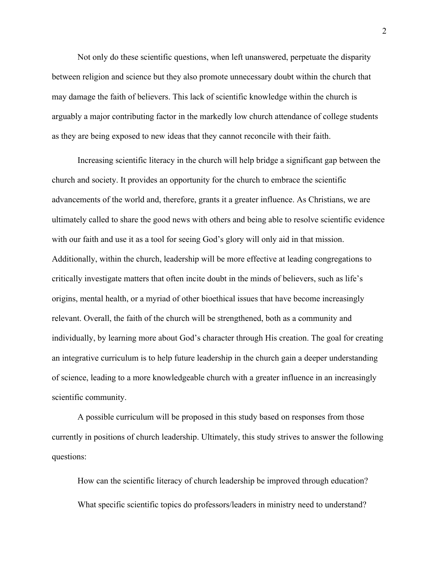Not only do these scientific questions, when left unanswered, perpetuate the disparity between religion and science but they also promote unnecessary doubt within the church that may damage the faith of believers. This lack of scientific knowledge within the church is arguably a major contributing factor in the markedly low church attendance of college students as they are being exposed to new ideas that they cannot reconcile with their faith.

Increasing scientific literacy in the church will help bridge a significant gap between the church and society. It provides an opportunity for the church to embrace the scientific advancements of the world and, therefore, grants it a greater influence. As Christians, we are ultimately called to share the good news with others and being able to resolve scientific evidence with our faith and use it as a tool for seeing God's glory will only aid in that mission. Additionally, within the church, leadership will be more effective at leading congregations to critically investigate matters that often incite doubt in the minds of believers, such as life's origins, mental health, or a myriad of other bioethical issues that have become increasingly relevant. Overall, the faith of the church will be strengthened, both as a community and individually, by learning more about God's character through His creation. The goal for creating an integrative curriculum is to help future leadership in the church gain a deeper understanding of science, leading to a more knowledgeable church with a greater influence in an increasingly scientific community.

A possible curriculum will be proposed in this study based on responses from those currently in positions of church leadership. Ultimately, this study strives to answer the following questions:

How can the scientific literacy of church leadership be improved through education? What specific scientific topics do professors/leaders in ministry need to understand?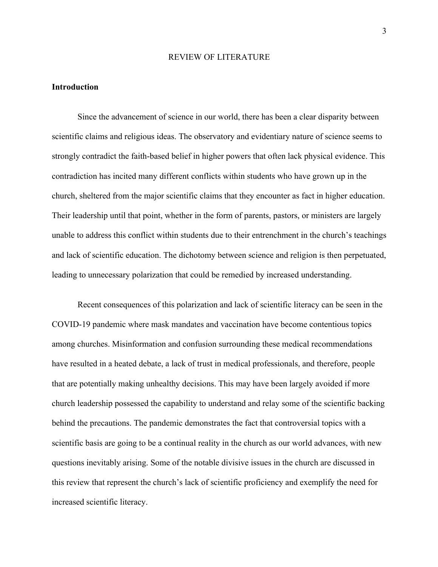#### REVIEW OF LITERATURE

## **Introduction**

Since the advancement of science in our world, there has been a clear disparity between scientific claims and religious ideas. The observatory and evidentiary nature of science seems to strongly contradict the faith-based belief in higher powers that often lack physical evidence. This contradiction has incited many different conflicts within students who have grown up in the church, sheltered from the major scientific claims that they encounter as fact in higher education. Their leadership until that point, whether in the form of parents, pastors, or ministers are largely unable to address this conflict within students due to their entrenchment in the church's teachings and lack of scientific education. The dichotomy between science and religion is then perpetuated, leading to unnecessary polarization that could be remedied by increased understanding.

Recent consequences of this polarization and lack of scientific literacy can be seen in the COVID-19 pandemic where mask mandates and vaccination have become contentious topics among churches. Misinformation and confusion surrounding these medical recommendations have resulted in a heated debate, a lack of trust in medical professionals, and therefore, people that are potentially making unhealthy decisions. This may have been largely avoided if more church leadership possessed the capability to understand and relay some of the scientific backing behind the precautions. The pandemic demonstrates the fact that controversial topics with a scientific basis are going to be a continual reality in the church as our world advances, with new questions inevitably arising. Some of the notable divisive issues in the church are discussed in this review that represent the church's lack of scientific proficiency and exemplify the need for increased scientific literacy.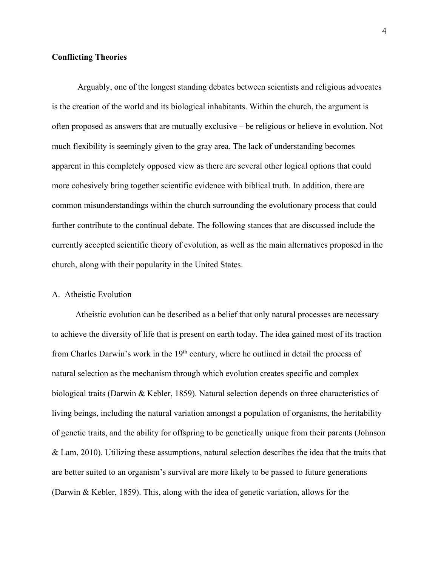## **Conflicting Theories**

Arguably, one of the longest standing debates between scientists and religious advocates is the creation of the world and its biological inhabitants. Within the church, the argument is often proposed as answers that are mutually exclusive – be religious or believe in evolution. Not much flexibility is seemingly given to the gray area. The lack of understanding becomes apparent in this completely opposed view as there are several other logical options that could more cohesively bring together scientific evidence with biblical truth. In addition, there are common misunderstandings within the church surrounding the evolutionary process that could further contribute to the continual debate. The following stances that are discussed include the currently accepted scientific theory of evolution, as well as the main alternatives proposed in the church, along with their popularity in the United States.

## A. Atheistic Evolution

 Atheistic evolution can be described as a belief that only natural processes are necessary to achieve the diversity of life that is present on earth today. The idea gained most of its traction from Charles Darwin's work in the  $19<sup>th</sup>$  century, where he outlined in detail the process of natural selection as the mechanism through which evolution creates specific and complex biological traits (Darwin & Kebler, 1859). Natural selection depends on three characteristics of living beings, including the natural variation amongst a population of organisms, the heritability of genetic traits, and the ability for offspring to be genetically unique from their parents (Johnson & Lam, 2010). Utilizing these assumptions, natural selection describes the idea that the traits that are better suited to an organism's survival are more likely to be passed to future generations (Darwin & Kebler, 1859). This, along with the idea of genetic variation, allows for the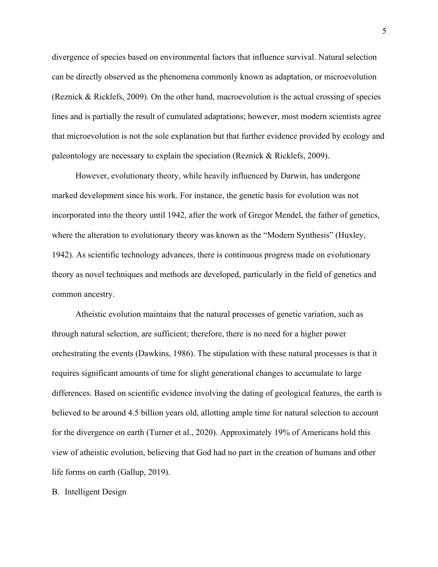divergence of species based on environmental factors that influence survival. Natural selection can be directly observed as the phenomena commonly known as adaptation, or microevolution (Reznick & Ricklefs, 2009). On the other hand, macroevolution is the actual crossing of species lines and is partially the result of cumulated adaptations; however, most modern scientists agree that microevolution is not the sole explanation but that further evidence provided by ecology and paleontology are necessary to explain the speciation (Reznick & Ricklefs, 2009).

 However, evolutionary theory, while heavily influenced by Darwin, has undergone marked development since his work. For instance, the genetic basis for evolution was not incorporated into the theory until 1942, after the work of Gregor Mendel, the father of genetics, where the alteration to evolutionary theory was known as the "Modern Synthesis" (Huxley, 1942). As scientific technology advances, there is continuous progress made on evolutionary theory as novel techniques and methods are developed, particularly in the field of genetics and common ancestry.

 Atheistic evolution maintains that the natural processes of genetic variation, such as through natural selection, are sufficient; therefore, there is no need for a higher power orchestrating the events (Dawkins, 1986). The stipulation with these natural processes is that it requires significant amounts of time for slight generational changes to accumulate to large differences. Based on scientific evidence involving the dating of geological features, the earth is believed to be around 4.5 billion years old, allotting ample time for natural selection to account for the divergence on earth (Turner et al., 2020). Approximately 19% of Americans hold this view of atheistic evolution, believing that God had no part in the creation of humans and other life forms on earth (Gallup, 2019).

B. Intelligent Design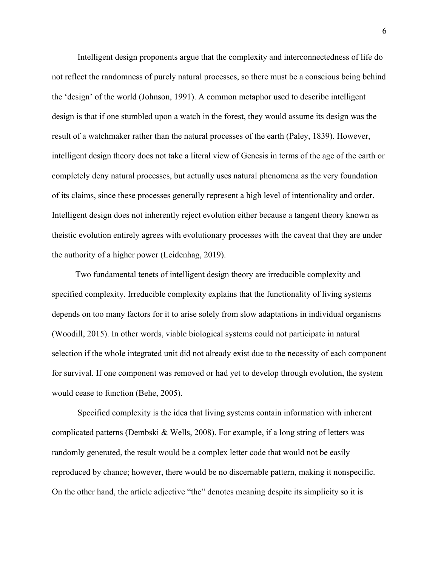Intelligent design proponents argue that the complexity and interconnectedness of life do not reflect the randomness of purely natural processes, so there must be a conscious being behind the 'design' of the world (Johnson, 1991). A common metaphor used to describe intelligent design is that if one stumbled upon a watch in the forest, they would assume its design was the result of a watchmaker rather than the natural processes of the earth (Paley, 1839). However, intelligent design theory does not take a literal view of Genesis in terms of the age of the earth or completely deny natural processes, but actually uses natural phenomena as the very foundation of its claims, since these processes generally represent a high level of intentionality and order. Intelligent design does not inherently reject evolution either because a tangent theory known as theistic evolution entirely agrees with evolutionary processes with the caveat that they are under the authority of a higher power (Leidenhag, 2019).

 Two fundamental tenets of intelligent design theory are irreducible complexity and specified complexity. Irreducible complexity explains that the functionality of living systems depends on too many factors for it to arise solely from slow adaptations in individual organisms (Woodill, 2015). In other words, viable biological systems could not participate in natural selection if the whole integrated unit did not already exist due to the necessity of each component for survival. If one component was removed or had yet to develop through evolution, the system would cease to function (Behe, 2005).

 Specified complexity is the idea that living systems contain information with inherent complicated patterns (Dembski & Wells, 2008). For example, if a long string of letters was randomly generated, the result would be a complex letter code that would not be easily reproduced by chance; however, there would be no discernable pattern, making it nonspecific. On the other hand, the article adjective "the" denotes meaning despite its simplicity so it is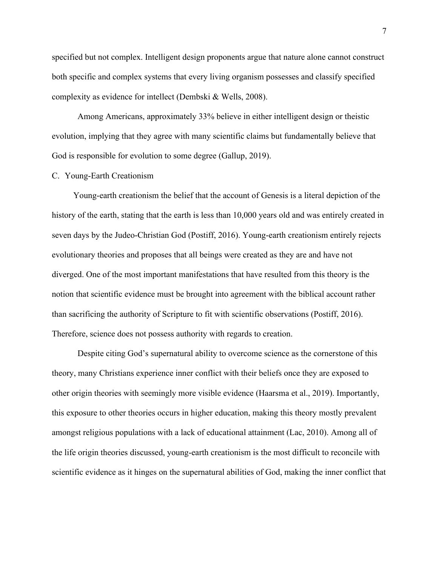specified but not complex. Intelligent design proponents argue that nature alone cannot construct both specific and complex systems that every living organism possesses and classify specified complexity as evidence for intellect (Dembski & Wells, 2008).

Among Americans, approximately 33% believe in either intelligent design or theistic evolution, implying that they agree with many scientific claims but fundamentally believe that God is responsible for evolution to some degree (Gallup, 2019).

#### C. Young-Earth Creationism

 Young-earth creationism the belief that the account of Genesis is a literal depiction of the history of the earth, stating that the earth is less than 10,000 years old and was entirely created in seven days by the Judeo-Christian God (Postiff, 2016). Young-earth creationism entirely rejects evolutionary theories and proposes that all beings were created as they are and have not diverged. One of the most important manifestations that have resulted from this theory is the notion that scientific evidence must be brought into agreement with the biblical account rather than sacrificing the authority of Scripture to fit with scientific observations (Postiff, 2016). Therefore, science does not possess authority with regards to creation.

Despite citing God's supernatural ability to overcome science as the cornerstone of this theory, many Christians experience inner conflict with their beliefs once they are exposed to other origin theories with seemingly more visible evidence (Haarsma et al., 2019). Importantly, this exposure to other theories occurs in higher education, making this theory mostly prevalent amongst religious populations with a lack of educational attainment (Lac, 2010). Among all of the life origin theories discussed, young-earth creationism is the most difficult to reconcile with scientific evidence as it hinges on the supernatural abilities of God, making the inner conflict that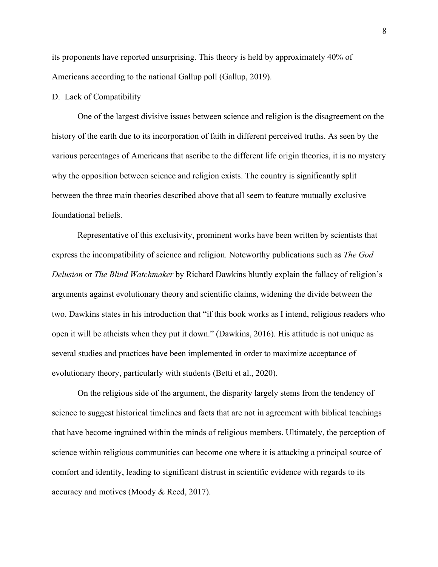its proponents have reported unsurprising. This theory is held by approximately 40% of Americans according to the national Gallup poll (Gallup, 2019).

#### D. Lack of Compatibility

One of the largest divisive issues between science and religion is the disagreement on the history of the earth due to its incorporation of faith in different perceived truths. As seen by the various percentages of Americans that ascribe to the different life origin theories, it is no mystery why the opposition between science and religion exists. The country is significantly split between the three main theories described above that all seem to feature mutually exclusive foundational beliefs.

Representative of this exclusivity, prominent works have been written by scientists that express the incompatibility of science and religion. Noteworthy publications such as *The God Delusion* or *The Blind Watchmaker* by Richard Dawkins bluntly explain the fallacy of religion's arguments against evolutionary theory and scientific claims, widening the divide between the two. Dawkins states in his introduction that "if this book works as I intend, religious readers who open it will be atheists when they put it down." (Dawkins, 2016). His attitude is not unique as several studies and practices have been implemented in order to maximize acceptance of evolutionary theory, particularly with students (Betti et al., 2020).

On the religious side of the argument, the disparity largely stems from the tendency of science to suggest historical timelines and facts that are not in agreement with biblical teachings that have become ingrained within the minds of religious members. Ultimately, the perception of science within religious communities can become one where it is attacking a principal source of comfort and identity, leading to significant distrust in scientific evidence with regards to its accuracy and motives (Moody & Reed, 2017).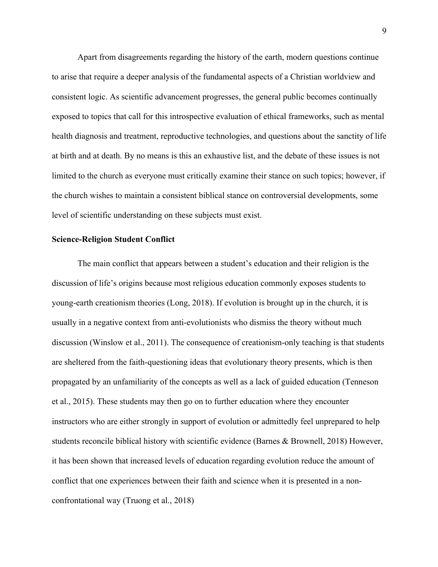Apart from disagreements regarding the history of the earth, modern questions continue to arise that require a deeper analysis of the fundamental aspects of a Christian worldview and consistent logic. As scientific advancement progresses, the general public becomes continually exposed to topics that call for this introspective evaluation of ethical frameworks, such as mental health diagnosis and treatment, reproductive technologies, and questions about the sanctity of life at birth and at death. By no means is this an exhaustive list, and the debate of these issues is not limited to the church as everyone must critically examine their stance on such topics; however, if the church wishes to maintain a consistent biblical stance on controversial developments, some level of scientific understanding on these subjects must exist.

#### **Science-Religion Student Conflict**

The main conflict that appears between a student's education and their religion is the discussion of life's origins because most religious education commonly exposes students to young-earth creationism theories (Long, 2018). If evolution is brought up in the church, it is usually in a negative context from anti-evolutionists who dismiss the theory without much discussion (Winslow et al., 2011). The consequence of creationism-only teaching is that students are sheltered from the faith-questioning ideas that evolutionary theory presents, which is then propagated by an unfamiliarity of the concepts as well as a lack of guided education (Tenneson et al., 2015). These students may then go on to further education where they encounter instructors who are either strongly in support of evolution or admittedly feel unprepared to help students reconcile biblical history with scientific evidence (Barnes & Brownell, 2018) However, it has been shown that increased levels of education regarding evolution reduce the amount of conflict that one experiences between their faith and science when it is presented in a nonconfrontational way (Truong et al., 2018)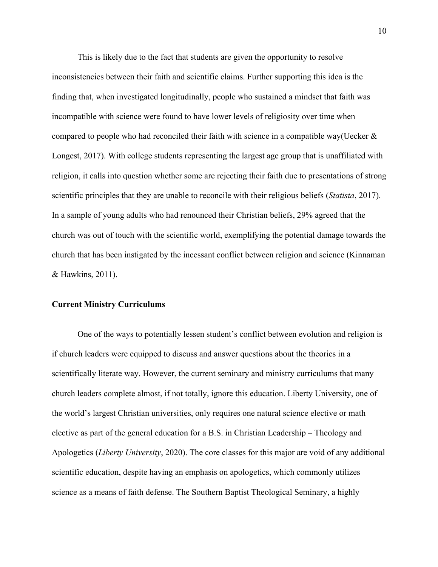This is likely due to the fact that students are given the opportunity to resolve inconsistencies between their faith and scientific claims. Further supporting this idea is the finding that, when investigated longitudinally, people who sustained a mindset that faith was incompatible with science were found to have lower levels of religiosity over time when compared to people who had reconciled their faith with science in a compatible way(Uecker & Longest, 2017). With college students representing the largest age group that is unaffiliated with religion, it calls into question whether some are rejecting their faith due to presentations of strong scientific principles that they are unable to reconcile with their religious beliefs (*Statista*, 2017). In a sample of young adults who had renounced their Christian beliefs, 29% agreed that the church was out of touch with the scientific world, exemplifying the potential damage towards the church that has been instigated by the incessant conflict between religion and science (Kinnaman & Hawkins, 2011).

#### **Current Ministry Curriculums**

One of the ways to potentially lessen student's conflict between evolution and religion is if church leaders were equipped to discuss and answer questions about the theories in a scientifically literate way. However, the current seminary and ministry curriculums that many church leaders complete almost, if not totally, ignore this education. Liberty University, one of the world's largest Christian universities, only requires one natural science elective or math elective as part of the general education for a B.S. in Christian Leadership – Theology and Apologetics (*Liberty University*, 2020). The core classes for this major are void of any additional scientific education, despite having an emphasis on apologetics, which commonly utilizes science as a means of faith defense. The Southern Baptist Theological Seminary, a highly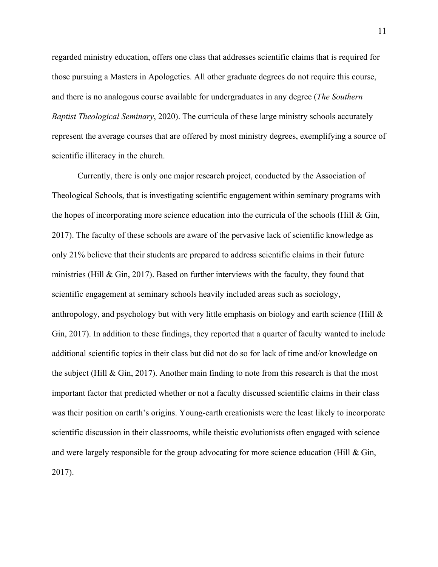regarded ministry education, offers one class that addresses scientific claims that is required for those pursuing a Masters in Apologetics. All other graduate degrees do not require this course, and there is no analogous course available for undergraduates in any degree (*The Southern Baptist Theological Seminary*, 2020). The curricula of these large ministry schools accurately represent the average courses that are offered by most ministry degrees, exemplifying a source of scientific illiteracy in the church.

Currently, there is only one major research project, conducted by the Association of Theological Schools, that is investigating scientific engagement within seminary programs with the hopes of incorporating more science education into the curricula of the schools (Hill  $\&$  Gin, 2017). The faculty of these schools are aware of the pervasive lack of scientific knowledge as only 21% believe that their students are prepared to address scientific claims in their future ministries (Hill  $\&$  Gin, 2017). Based on further interviews with the faculty, they found that scientific engagement at seminary schools heavily included areas such as sociology, anthropology, and psychology but with very little emphasis on biology and earth science (Hill  $\&$ Gin, 2017). In addition to these findings, they reported that a quarter of faculty wanted to include additional scientific topics in their class but did not do so for lack of time and/or knowledge on the subject (Hill  $\&$  Gin, 2017). Another main finding to note from this research is that the most important factor that predicted whether or not a faculty discussed scientific claims in their class was their position on earth's origins. Young-earth creationists were the least likely to incorporate scientific discussion in their classrooms, while theistic evolutionists often engaged with science and were largely responsible for the group advocating for more science education (Hill & Gin, 2017).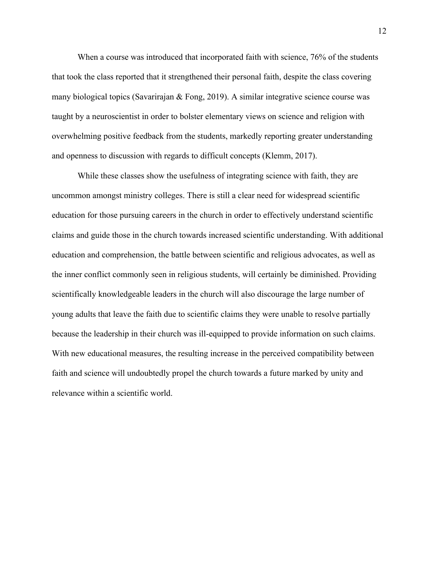When a course was introduced that incorporated faith with science, 76% of the students that took the class reported that it strengthened their personal faith, despite the class covering many biological topics (Savarirajan & Fong, 2019). A similar integrative science course was taught by a neuroscientist in order to bolster elementary views on science and religion with overwhelming positive feedback from the students, markedly reporting greater understanding and openness to discussion with regards to difficult concepts (Klemm, 2017).

While these classes show the usefulness of integrating science with faith, they are uncommon amongst ministry colleges. There is still a clear need for widespread scientific education for those pursuing careers in the church in order to effectively understand scientific claims and guide those in the church towards increased scientific understanding. With additional education and comprehension, the battle between scientific and religious advocates, as well as the inner conflict commonly seen in religious students, will certainly be diminished. Providing scientifically knowledgeable leaders in the church will also discourage the large number of young adults that leave the faith due to scientific claims they were unable to resolve partially because the leadership in their church was ill-equipped to provide information on such claims. With new educational measures, the resulting increase in the perceived compatibility between faith and science will undoubtedly propel the church towards a future marked by unity and relevance within a scientific world.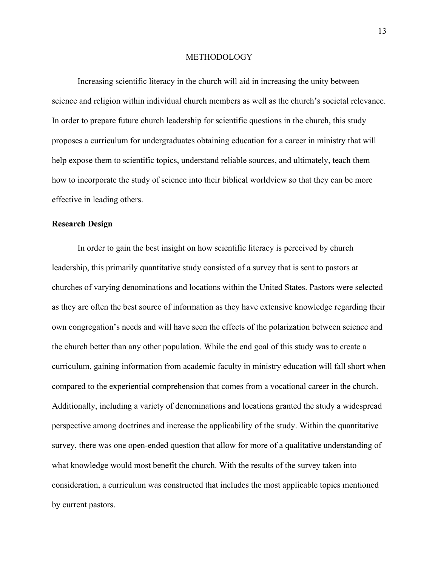#### METHODOLOGY

Increasing scientific literacy in the church will aid in increasing the unity between science and religion within individual church members as well as the church's societal relevance. In order to prepare future church leadership for scientific questions in the church, this study proposes a curriculum for undergraduates obtaining education for a career in ministry that will help expose them to scientific topics, understand reliable sources, and ultimately, teach them how to incorporate the study of science into their biblical worldview so that they can be more effective in leading others.

## **Research Design**

In order to gain the best insight on how scientific literacy is perceived by church leadership, this primarily quantitative study consisted of a survey that is sent to pastors at churches of varying denominations and locations within the United States. Pastors were selected as they are often the best source of information as they have extensive knowledge regarding their own congregation's needs and will have seen the effects of the polarization between science and the church better than any other population. While the end goal of this study was to create a curriculum, gaining information from academic faculty in ministry education will fall short when compared to the experiential comprehension that comes from a vocational career in the church. Additionally, including a variety of denominations and locations granted the study a widespread perspective among doctrines and increase the applicability of the study. Within the quantitative survey, there was one open-ended question that allow for more of a qualitative understanding of what knowledge would most benefit the church. With the results of the survey taken into consideration, a curriculum was constructed that includes the most applicable topics mentioned by current pastors.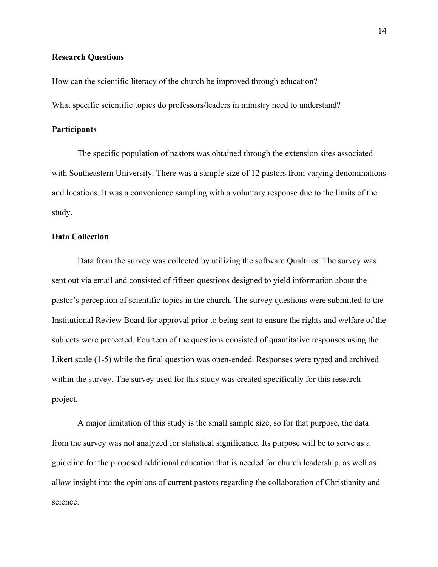## **Research Questions**

How can the scientific literacy of the church be improved through education?

What specific scientific topics do professors/leaders in ministry need to understand?

## **Participants**

The specific population of pastors was obtained through the extension sites associated with Southeastern University. There was a sample size of 12 pastors from varying denominations and locations. It was a convenience sampling with a voluntary response due to the limits of the study.

## **Data Collection**

Data from the survey was collected by utilizing the software Qualtrics. The survey was sent out via email and consisted of fifteen questions designed to yield information about the pastor's perception of scientific topics in the church. The survey questions were submitted to the Institutional Review Board for approval prior to being sent to ensure the rights and welfare of the subjects were protected. Fourteen of the questions consisted of quantitative responses using the Likert scale (1-5) while the final question was open-ended. Responses were typed and archived within the survey. The survey used for this study was created specifically for this research project.

A major limitation of this study is the small sample size, so for that purpose, the data from the survey was not analyzed for statistical significance. Its purpose will be to serve as a guideline for the proposed additional education that is needed for church leadership, as well as allow insight into the opinions of current pastors regarding the collaboration of Christianity and science.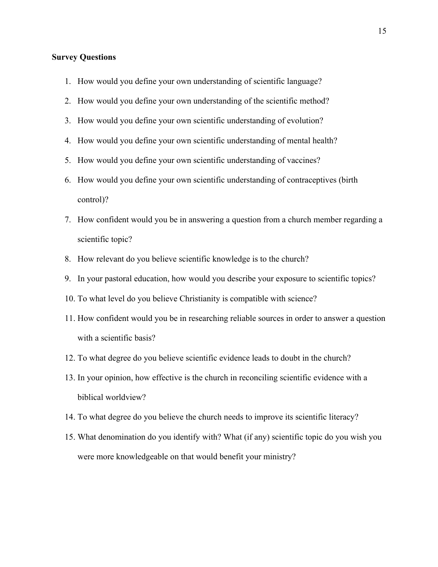## **Survey Questions**

- 1. How would you define your own understanding of scientific language?
- 2. How would you define your own understanding of the scientific method?
- 3. How would you define your own scientific understanding of evolution?
- 4. How would you define your own scientific understanding of mental health?
- 5. How would you define your own scientific understanding of vaccines?
- 6. How would you define your own scientific understanding of contraceptives (birth control)?
- 7. How confident would you be in answering a question from a church member regarding a scientific topic?
- 8. How relevant do you believe scientific knowledge is to the church?
- 9. In your pastoral education, how would you describe your exposure to scientific topics?
- 10. To what level do you believe Christianity is compatible with science?
- 11. How confident would you be in researching reliable sources in order to answer a question with a scientific basis?
- 12. To what degree do you believe scientific evidence leads to doubt in the church?
- 13. In your opinion, how effective is the church in reconciling scientific evidence with a biblical worldview?
- 14. To what degree do you believe the church needs to improve its scientific literacy?
- 15. What denomination do you identify with? What (if any) scientific topic do you wish you were more knowledgeable on that would benefit your ministry?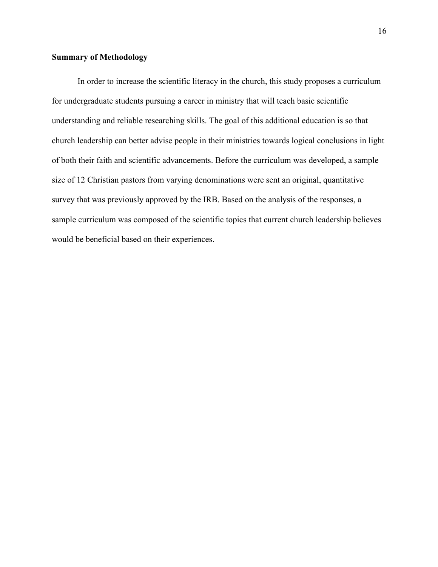## **Summary of Methodology**

In order to increase the scientific literacy in the church, this study proposes a curriculum for undergraduate students pursuing a career in ministry that will teach basic scientific understanding and reliable researching skills. The goal of this additional education is so that church leadership can better advise people in their ministries towards logical conclusions in light of both their faith and scientific advancements. Before the curriculum was developed, a sample size of 12 Christian pastors from varying denominations were sent an original, quantitative survey that was previously approved by the IRB. Based on the analysis of the responses, a sample curriculum was composed of the scientific topics that current church leadership believes would be beneficial based on their experiences.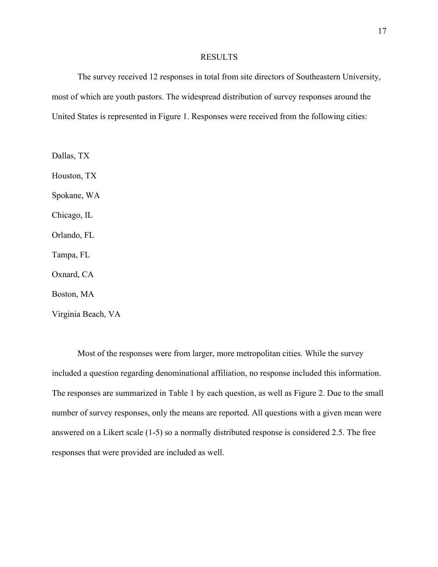#### RESULTS

The survey received 12 responses in total from site directors of Southeastern University, most of which are youth pastors. The widespread distribution of survey responses around the United States is represented in Figure 1. Responses were received from the following cities:

Dallas, TX Houston, TX Spokane, WA Chicago, IL Orlando, FL Tampa, FL Oxnard, CA Boston, MA Virginia Beach, VA

Most of the responses were from larger, more metropolitan cities. While the survey included a question regarding denominational affiliation, no response included this information. The responses are summarized in Table 1 by each question, as well as Figure 2. Due to the small number of survey responses, only the means are reported. All questions with a given mean were answered on a Likert scale (1-5) so a normally distributed response is considered 2.5. The free responses that were provided are included as well.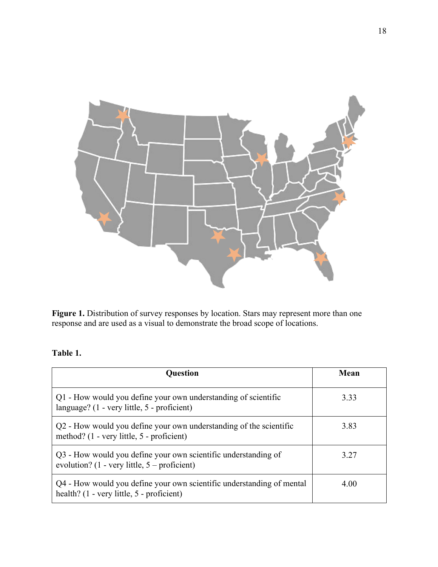

**Figure 1.** Distribution of survey responses by location. Stars may represent more than one response and are used as a visual to demonstrate the broad scope of locations.

## **Table 1.**

| <b>Question</b>                                                                                                            | Mean |
|----------------------------------------------------------------------------------------------------------------------------|------|
| Q1 - How would you define your own understanding of scientific<br>language? $(1 - \text{very little}, 5 - \text{profit})$  | 3.33 |
| Q2 - How would you define your own understanding of the scientific<br>method? (1 - very little, 5 - proficient)            | 3.83 |
| Q3 - How would you define your own scientific understanding of<br>evolution? $(1 - \text{very little}, 5 - \text{profit})$ | 3.27 |
| Q4 - How would you define your own scientific understanding of mental<br>health? (1 - very little, 5 - proficient)         | 4.00 |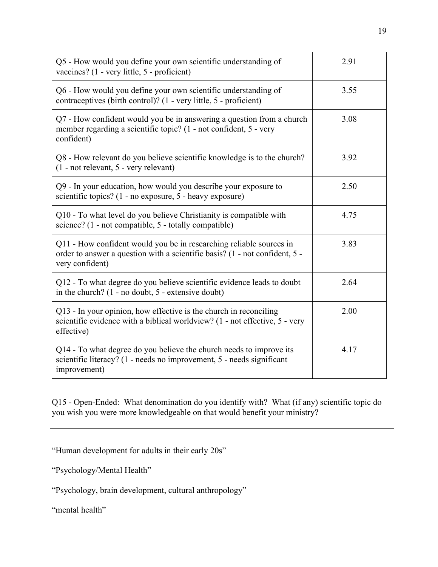| Q5 - How would you define your own scientific understanding of<br>vaccines? (1 - very little, 5 - proficient)                                                         | 2.91 |
|-----------------------------------------------------------------------------------------------------------------------------------------------------------------------|------|
| Q6 - How would you define your own scientific understanding of<br>contraceptives (birth control)? (1 - very little, 5 - proficient)                                   | 3.55 |
| Q7 - How confident would you be in answering a question from a church<br>member regarding a scientific topic? (1 - not confident, 5 - very<br>confident)              | 3.08 |
| Q8 - How relevant do you believe scientific knowledge is to the church?<br>(1 - not relevant, 5 - very relevant)                                                      | 3.92 |
| Q9 - In your education, how would you describe your exposure to<br>scientific topics? (1 - no exposure, 5 - heavy exposure)                                           | 2.50 |
| Q10 - To what level do you believe Christianity is compatible with<br>science? (1 - not compatible, 5 - totally compatible)                                           | 4.75 |
| Q11 - How confident would you be in researching reliable sources in<br>order to answer a question with a scientific basis? (1 - not confident, 5 -<br>very confident) | 3.83 |
| Q12 - To what degree do you believe scientific evidence leads to doubt<br>in the church? $(1 - no doubt, 5 - extensive doubt)$                                        | 2.64 |
| Q13 - In your opinion, how effective is the church in reconciling<br>scientific evidence with a biblical worldview? (1 - not effective, 5 - very<br>effective)        | 2.00 |
| Q14 - To what degree do you believe the church needs to improve its<br>scientific literacy? (1 - needs no improvement, 5 - needs significant<br>improvement)          | 4.17 |

Q15 - Open-Ended: What denomination do you identify with? What (if any) scientific topic do you wish you were more knowledgeable on that would benefit your ministry?

"Human development for adults in their early 20s"

"Psychology/Mental Health"

"Psychology, brain development, cultural anthropology"

"mental health"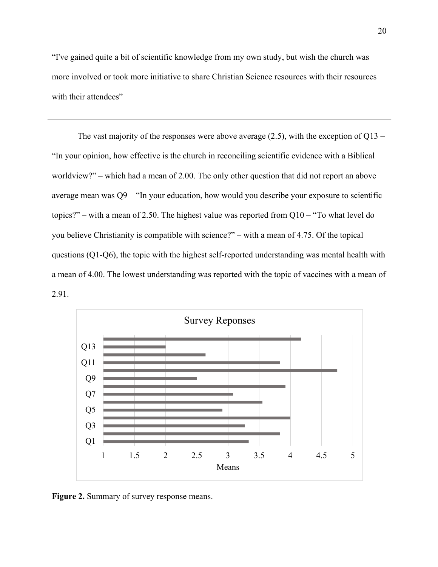"I've gained quite a bit of scientific knowledge from my own study, but wish the church was more involved or took more initiative to share Christian Science resources with their resources with their attendees"

The vast majority of the responses were above average  $(2.5)$ , with the exception of Q13 – "In your opinion, how effective is the church in reconciling scientific evidence with a Biblical worldview?" – which had a mean of 2.00. The only other question that did not report an above average mean was Q9 – "In your education, how would you describe your exposure to scientific topics?" – with a mean of 2.50. The highest value was reported from Q10 – "To what level do you believe Christianity is compatible with science?" – with a mean of 4.75. Of the topical questions (Q1-Q6), the topic with the highest self-reported understanding was mental health with a mean of 4.00. The lowest understanding was reported with the topic of vaccines with a mean of 2.91.



**Figure 2.** Summary of survey response means.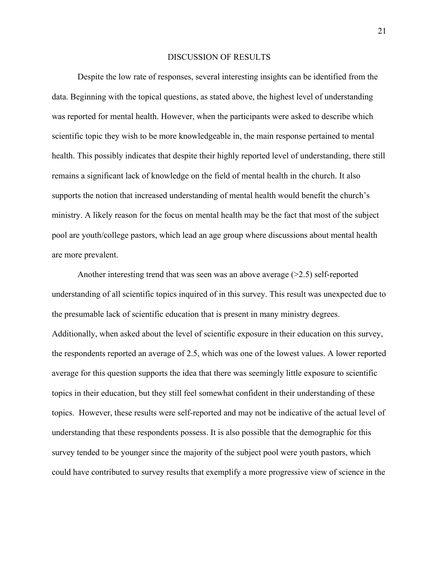#### DISCUSSION OF RESULTS

Despite the low rate of responses, several interesting insights can be identified from the data. Beginning with the topical questions, as stated above, the highest level of understanding was reported for mental health. However, when the participants were asked to describe which scientific topic they wish to be more knowledgeable in, the main response pertained to mental health. This possibly indicates that despite their highly reported level of understanding, there still remains a significant lack of knowledge on the field of mental health in the church. It also supports the notion that increased understanding of mental health would benefit the church's ministry. A likely reason for the focus on mental health may be the fact that most of the subject pool are youth/college pastors, which lead an age group where discussions about mental health are more prevalent.

Another interesting trend that was seen was an above average  $(>=2.5)$  self-reported understanding of all scientific topics inquired of in this survey. This result was unexpected due to the presumable lack of scientific education that is present in many ministry degrees. Additionally, when asked about the level of scientific exposure in their education on this survey, the respondents reported an average of 2.5, which was one of the lowest values. A lower reported average for this question supports the idea that there was seemingly little exposure to scientific topics in their education, but they still feel somewhat confident in their understanding of these topics. However, these results were self-reported and may not be indicative of the actual level of understanding that these respondents possess. It is also possible that the demographic for this survey tended to be younger since the majority of the subject pool were youth pastors, which could have contributed to survey results that exemplify a more progressive view of science in the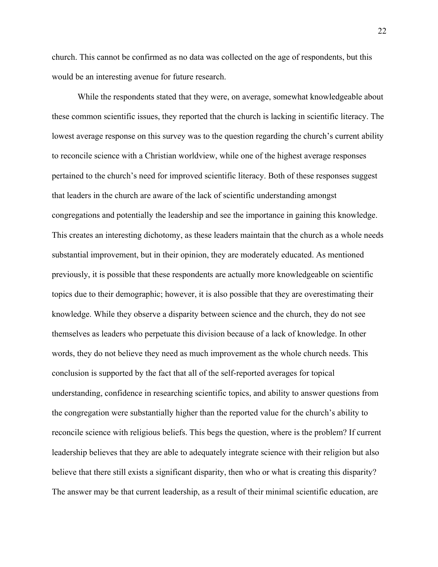church. This cannot be confirmed as no data was collected on the age of respondents, but this would be an interesting avenue for future research.

While the respondents stated that they were, on average, somewhat knowledgeable about these common scientific issues, they reported that the church is lacking in scientific literacy. The lowest average response on this survey was to the question regarding the church's current ability to reconcile science with a Christian worldview, while one of the highest average responses pertained to the church's need for improved scientific literacy. Both of these responses suggest that leaders in the church are aware of the lack of scientific understanding amongst congregations and potentially the leadership and see the importance in gaining this knowledge. This creates an interesting dichotomy, as these leaders maintain that the church as a whole needs substantial improvement, but in their opinion, they are moderately educated. As mentioned previously, it is possible that these respondents are actually more knowledgeable on scientific topics due to their demographic; however, it is also possible that they are overestimating their knowledge. While they observe a disparity between science and the church, they do not see themselves as leaders who perpetuate this division because of a lack of knowledge. In other words, they do not believe they need as much improvement as the whole church needs. This conclusion is supported by the fact that all of the self-reported averages for topical understanding, confidence in researching scientific topics, and ability to answer questions from the congregation were substantially higher than the reported value for the church's ability to reconcile science with religious beliefs. This begs the question, where is the problem? If current leadership believes that they are able to adequately integrate science with their religion but also believe that there still exists a significant disparity, then who or what is creating this disparity? The answer may be that current leadership, as a result of their minimal scientific education, are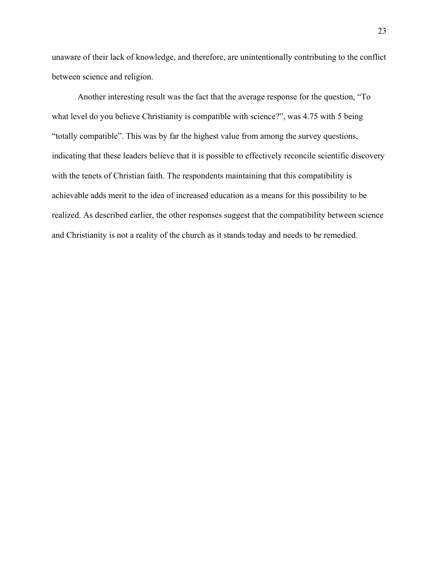unaware of their lack of knowledge, and therefore, are unintentionally contributing to the conflict between science and religion.

Another interesting result was the fact that the average response for the question, "To what level do you believe Christianity is compatible with science?", was 4.75 with 5 being "totally compatible". This was by far the highest value from among the survey questions, indicating that these leaders believe that it is possible to effectively reconcile scientific discovery with the tenets of Christian faith. The respondents maintaining that this compatibility is achievable adds merit to the idea of increased education as a means for this possibility to be realized. As described earlier, the other responses suggest that the compatibility between science and Christianity is not a reality of the church as it stands today and needs to be remedied.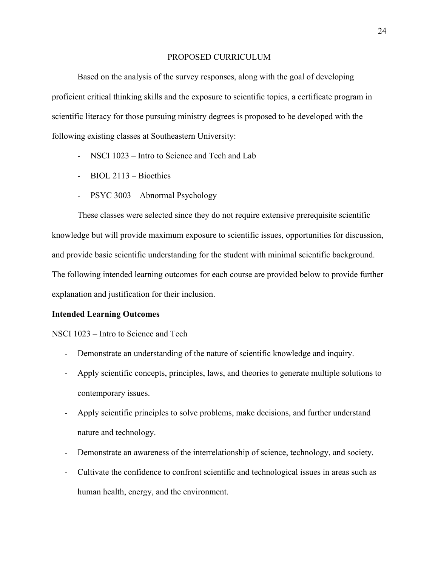#### PROPOSED CURRICULUM

Based on the analysis of the survey responses, along with the goal of developing proficient critical thinking skills and the exposure to scientific topics, a certificate program in scientific literacy for those pursuing ministry degrees is proposed to be developed with the following existing classes at Southeastern University:

- NSCI 1023 Intro to Science and Tech and Lab
- BIOL 2113 Bioethics
- PSYC 3003 Abnormal Psychology

These classes were selected since they do not require extensive prerequisite scientific knowledge but will provide maximum exposure to scientific issues, opportunities for discussion, and provide basic scientific understanding for the student with minimal scientific background. The following intended learning outcomes for each course are provided below to provide further explanation and justification for their inclusion.

#### **Intended Learning Outcomes**

NSCI 1023 – Intro to Science and Tech

- Demonstrate an understanding of the nature of scientific knowledge and inquiry.
- Apply scientific concepts, principles, laws, and theories to generate multiple solutions to contemporary issues.
- Apply scientific principles to solve problems, make decisions, and further understand nature and technology.
- Demonstrate an awareness of the interrelationship of science, technology, and society.
- Cultivate the confidence to confront scientific and technological issues in areas such as human health, energy, and the environment.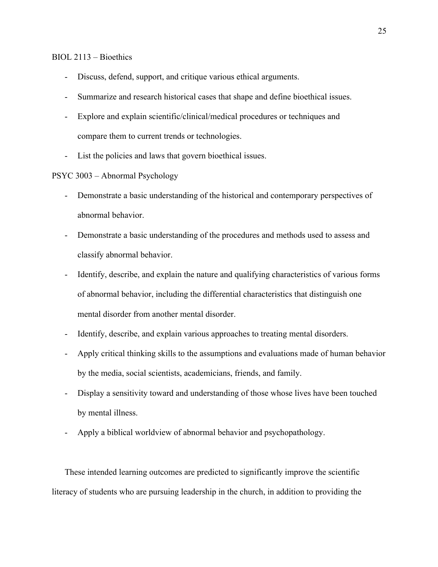## BIOL 2113 – Bioethics

- Discuss, defend, support, and critique various ethical arguments.
- Summarize and research historical cases that shape and define bioethical issues.
- Explore and explain scientific/clinical/medical procedures or techniques and compare them to current trends or technologies.
- List the policies and laws that govern bioethical issues.
- PSYC 3003 Abnormal Psychology
	- Demonstrate a basic understanding of the historical and contemporary perspectives of abnormal behavior.
	- Demonstrate a basic understanding of the procedures and methods used to assess and classify abnormal behavior.
	- Identify, describe, and explain the nature and qualifying characteristics of various forms of abnormal behavior, including the differential characteristics that distinguish one mental disorder from another mental disorder.
	- Identify, describe, and explain various approaches to treating mental disorders.
	- Apply critical thinking skills to the assumptions and evaluations made of human behavior by the media, social scientists, academicians, friends, and family.
	- Display a sensitivity toward and understanding of those whose lives have been touched by mental illness.
	- Apply a biblical worldview of abnormal behavior and psychopathology.

These intended learning outcomes are predicted to significantly improve the scientific literacy of students who are pursuing leadership in the church, in addition to providing the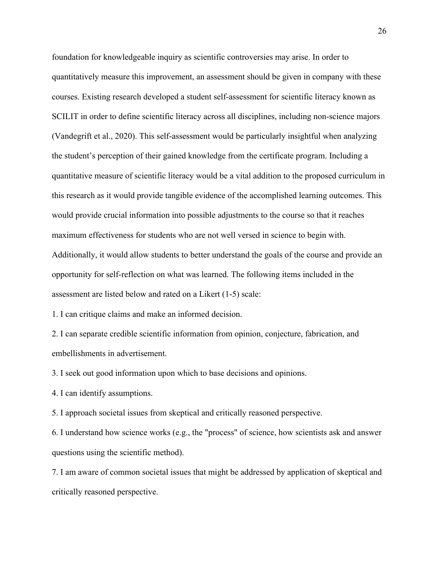foundation for knowledgeable inquiry as scientific controversies may arise. In order to quantitatively measure this improvement, an assessment should be given in company with these courses. Existing research developed a student self-assessment for scientific literacy known as SCILIT in order to define scientific literacy across all disciplines, including non-science majors (Vandegrift et al., 2020). This self-assessment would be particularly insightful when analyzing the student's perception of their gained knowledge from the certificate program. Including a quantitative measure of scientific literacy would be a vital addition to the proposed curriculum in this research as it would provide tangible evidence of the accomplished learning outcomes. This would provide crucial information into possible adjustments to the course so that it reaches maximum effectiveness for students who are not well versed in science to begin with. Additionally, it would allow students to better understand the goals of the course and provide an opportunity for self-reflection on what was learned. The following items included in the assessment are listed below and rated on a Likert (1-5) scale:

1. I can critique claims and make an informed decision.

2. I can separate credible scientific information from opinion, conjecture, fabrication, and embellishments in advertisement.

3. I seek out good information upon which to base decisions and opinions.

4. I can identify assumptions.

5. I approach societal issues from skeptical and critically reasoned perspective.

6. I understand how science works (e.g., the "process" of science, how scientists ask and answer questions using the scientific method).

7. I am aware of common societal issues that might be addressed by application of skeptical and critically reasoned perspective.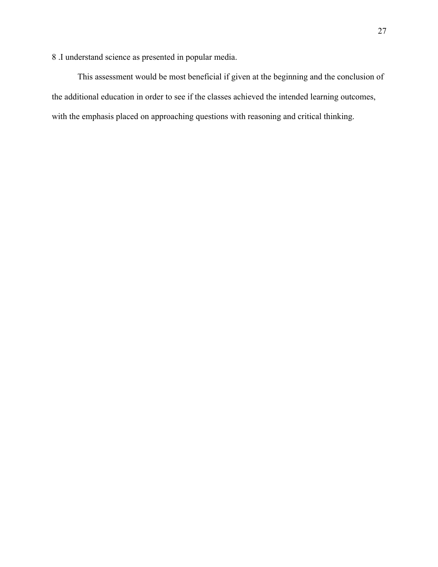8 .I understand science as presented in popular media.

This assessment would be most beneficial if given at the beginning and the conclusion of the additional education in order to see if the classes achieved the intended learning outcomes, with the emphasis placed on approaching questions with reasoning and critical thinking.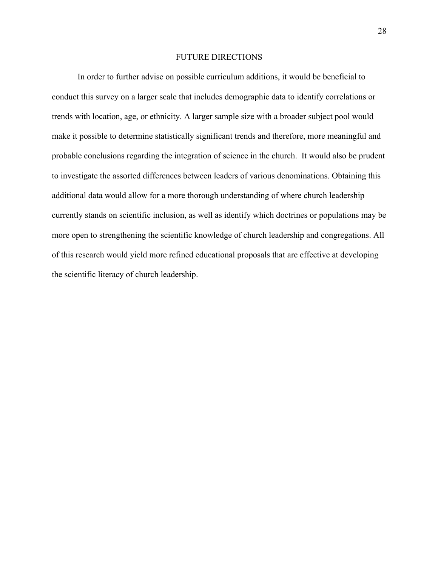#### FUTURE DIRECTIONS

In order to further advise on possible curriculum additions, it would be beneficial to conduct this survey on a larger scale that includes demographic data to identify correlations or trends with location, age, or ethnicity. A larger sample size with a broader subject pool would make it possible to determine statistically significant trends and therefore, more meaningful and probable conclusions regarding the integration of science in the church. It would also be prudent to investigate the assorted differences between leaders of various denominations. Obtaining this additional data would allow for a more thorough understanding of where church leadership currently stands on scientific inclusion, as well as identify which doctrines or populations may be more open to strengthening the scientific knowledge of church leadership and congregations. All of this research would yield more refined educational proposals that are effective at developing the scientific literacy of church leadership.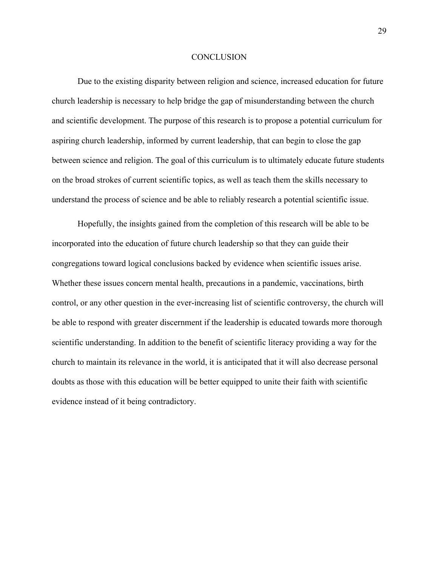#### **CONCLUSION**

Due to the existing disparity between religion and science, increased education for future church leadership is necessary to help bridge the gap of misunderstanding between the church and scientific development. The purpose of this research is to propose a potential curriculum for aspiring church leadership, informed by current leadership, that can begin to close the gap between science and religion. The goal of this curriculum is to ultimately educate future students on the broad strokes of current scientific topics, as well as teach them the skills necessary to understand the process of science and be able to reliably research a potential scientific issue.

Hopefully, the insights gained from the completion of this research will be able to be incorporated into the education of future church leadership so that they can guide their congregations toward logical conclusions backed by evidence when scientific issues arise. Whether these issues concern mental health, precautions in a pandemic, vaccinations, birth control, or any other question in the ever-increasing list of scientific controversy, the church will be able to respond with greater discernment if the leadership is educated towards more thorough scientific understanding. In addition to the benefit of scientific literacy providing a way for the church to maintain its relevance in the world, it is anticipated that it will also decrease personal doubts as those with this education will be better equipped to unite their faith with scientific evidence instead of it being contradictory.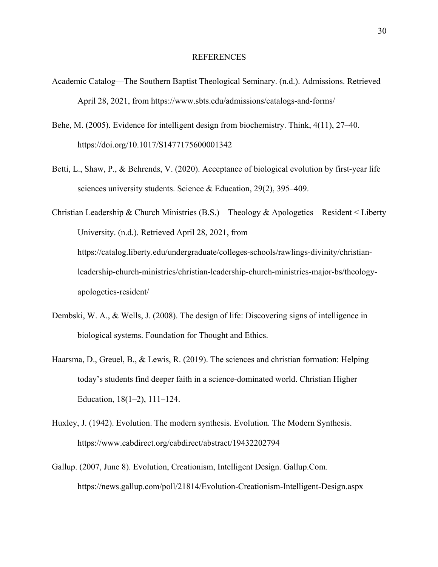### REFERENCES

- Academic Catalog—The Southern Baptist Theological Seminary. (n.d.). Admissions. Retrieved April 28, 2021, from https://www.sbts.edu/admissions/catalogs-and-forms/
- Behe, M. (2005). Evidence for intelligent design from biochemistry. Think, 4(11), 27–40. https://doi.org/10.1017/S1477175600001342
- Betti, L., Shaw, P., & Behrends, V. (2020). Acceptance of biological evolution by first-year life sciences university students. Science & Education, 29(2), 395–409.

Christian Leadership & Church Ministries (B.S.)—Theology & Apologetics—Resident < Liberty University. (n.d.). Retrieved April 28, 2021, from https://catalog.liberty.edu/undergraduate/colleges-schools/rawlings-divinity/christianleadership-church-ministries/christian-leadership-church-ministries-major-bs/theologyapologetics-resident/

- Dembski, W. A., & Wells, J. (2008). The design of life: Discovering signs of intelligence in biological systems. Foundation for Thought and Ethics.
- Haarsma, D., Greuel, B., & Lewis, R. (2019). The sciences and christian formation: Helping today's students find deeper faith in a science-dominated world. Christian Higher Education, 18(1–2), 111–124.
- Huxley, J. (1942). Evolution. The modern synthesis. Evolution. The Modern Synthesis. https://www.cabdirect.org/cabdirect/abstract/19432202794
- Gallup. (2007, June 8). Evolution, Creationism, Intelligent Design. Gallup.Com. https://news.gallup.com/poll/21814/Evolution-Creationism-Intelligent-Design.aspx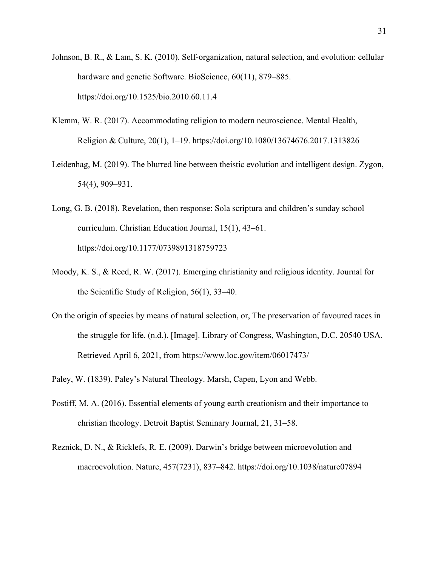- Johnson, B. R., & Lam, S. K. (2010). Self-organization, natural selection, and evolution: cellular hardware and genetic Software. BioScience, 60(11), 879–885. https://doi.org/10.1525/bio.2010.60.11.4
- Klemm, W. R. (2017). Accommodating religion to modern neuroscience. Mental Health, Religion & Culture, 20(1), 1–19. https://doi.org/10.1080/13674676.2017.1313826
- Leidenhag, M. (2019). The blurred line between theistic evolution and intelligent design. Zygon, 54(4), 909–931.
- Long, G. B. (2018). Revelation, then response: Sola scriptura and children's sunday school curriculum. Christian Education Journal, 15(1), 43–61. https://doi.org/10.1177/0739891318759723
- Moody, K. S., & Reed, R. W. (2017). Emerging christianity and religious identity. Journal for the Scientific Study of Religion, 56(1), 33–40.
- On the origin of species by means of natural selection, or, The preservation of favoured races in the struggle for life. (n.d.). [Image]. Library of Congress, Washington, D.C. 20540 USA. Retrieved April 6, 2021, from https://www.loc.gov/item/06017473/
- Paley, W. (1839). Paley's Natural Theology. Marsh, Capen, Lyon and Webb.
- Postiff, M. A. (2016). Essential elements of young earth creationism and their importance to christian theology. Detroit Baptist Seminary Journal, 21, 31–58.
- Reznick, D. N., & Ricklefs, R. E. (2009). Darwin's bridge between microevolution and macroevolution. Nature, 457(7231), 837–842. https://doi.org/10.1038/nature07894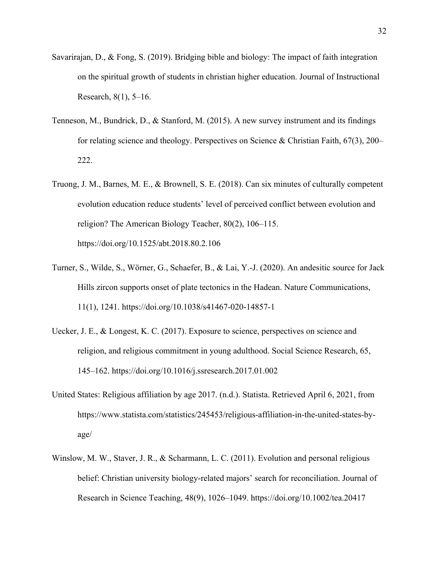- Savarirajan, D., & Fong, S. (2019). Bridging bible and biology: The impact of faith integration on the spiritual growth of students in christian higher education. Journal of Instructional Research, 8(1), 5–16.
- Tenneson, M., Bundrick, D., & Stanford, M. (2015). A new survey instrument and its findings for relating science and theology. Perspectives on Science & Christian Faith, 67(3), 200– 222.
- Truong, J. M., Barnes, M. E., & Brownell, S. E. (2018). Can six minutes of culturally competent evolution education reduce students' level of perceived conflict between evolution and religion? The American Biology Teacher, 80(2), 106–115. https://doi.org/10.1525/abt.2018.80.2.106
- Turner, S., Wilde, S., Wörner, G., Schaefer, B., & Lai, Y.-J. (2020). An andesitic source for Jack Hills zircon supports onset of plate tectonics in the Hadean. Nature Communications, 11(1), 1241. https://doi.org/10.1038/s41467-020-14857-1
- Uecker, J. E., & Longest, K. C. (2017). Exposure to science, perspectives on science and religion, and religious commitment in young adulthood. Social Science Research, 65, 145–162. https://doi.org/10.1016/j.ssresearch.2017.01.002
- United States: Religious affiliation by age 2017. (n.d.). Statista. Retrieved April 6, 2021, from https://www.statista.com/statistics/245453/religious-affiliation-in-the-united-states-byage/
- Winslow, M. W., Staver, J. R., & Scharmann, L. C. (2011). Evolution and personal religious belief: Christian university biology-related majors' search for reconciliation. Journal of Research in Science Teaching, 48(9), 1026–1049. https://doi.org/10.1002/tea.20417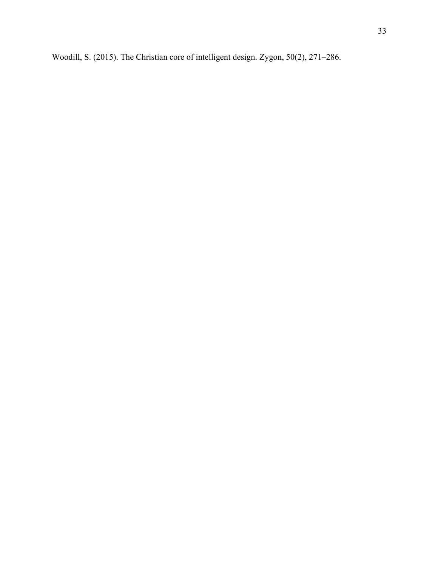Woodill, S. (2015). The Christian core of intelligent design. Zygon, 50(2), 271–286.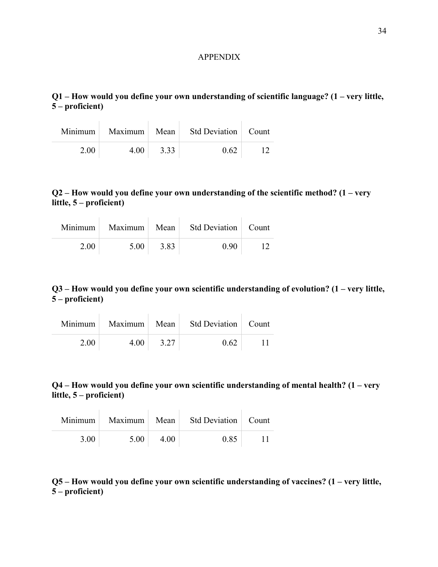#### APPENDIX

**Q1 – How would you define your own understanding of scientific language? (1 – very little, 5 – proficient)**

|      |      |      | Minimum   Maximum   Mean   Std Deviation   Count |  |
|------|------|------|--------------------------------------------------|--|
| 2.00 | 4.00 | 3.33 | 0.62                                             |  |

## **Q2 – How would you define your own understanding of the scientific method? (1 – very little, 5 – proficient)**

|      |      |      | Minimum   Maximum   Mean   Std Deviation   Count |  |
|------|------|------|--------------------------------------------------|--|
| 2.00 | 5.00 | 3.83 | 0.90                                             |  |

## **Q3 – How would you define your own scientific understanding of evolution? (1 – very little, 5 – proficient)**

|      |      |      | Minimum   Maximum   Mean   Std Deviation   Count |        |
|------|------|------|--------------------------------------------------|--------|
| 2.00 | 4.00 | 3.27 | 0.62                                             | $\Box$ |

## **Q4 – How would you define your own scientific understanding of mental health? (1 – very little, 5 – proficient)**

|      |      |      | Minimum   Maximum   Mean   Std Deviation   Count |  |
|------|------|------|--------------------------------------------------|--|
| 3.00 | 5.00 | 4.00 | 0.85                                             |  |

## **Q5 – How would you define your own scientific understanding of vaccines? (1 – very little, 5 – proficient)**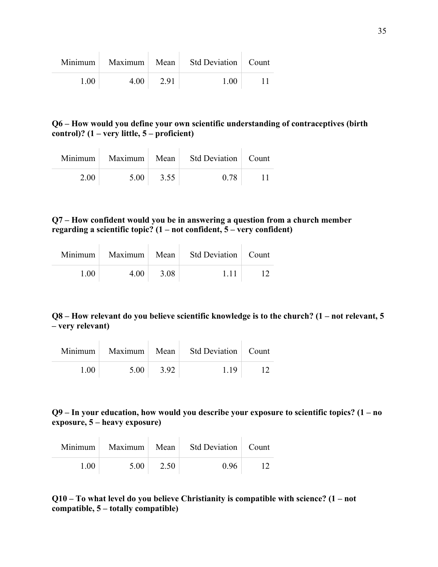|      | Minimum   Maximum   Mean |      | Std Deviation   Count |  |
|------|--------------------------|------|-----------------------|--|
| 1.00 | 4.00                     | 2.91 | 1.00                  |  |

## **Q6 – How would you define your own scientific understanding of contraceptives (birth control)? (1 – very little, 5 – proficient)**

|      |      |      | Minimum   Maximum   Mean   Std Deviation   Count |  |
|------|------|------|--------------------------------------------------|--|
| 2.00 | 5.00 | 3.55 | 0.78                                             |  |

## **Q7 – How confident would you be in answering a question from a church member regarding a scientific topic? (1 – not confident, 5 – very confident)**

|      |      |      | Minimum   Maximum   Mean   Std Deviation   Count |  |
|------|------|------|--------------------------------------------------|--|
| 1.00 | 4.00 | 3.08 | 1.11                                             |  |

## **Q8 – How relevant do you believe scientific knowledge is to the church? (1 – not relevant, 5 – very relevant)**

|      |      |      | Minimum   Maximum   Mean   Std Deviation   Count |  |
|------|------|------|--------------------------------------------------|--|
| 1.00 | 5.00 | 3.92 | 1.19                                             |  |

## **Q9 – In your education, how would you describe your exposure to scientific topics? (1 – no exposure, 5 – heavy exposure)**

|      |      |      | Minimum   Maximum   Mean   Std Deviation   Count |    |
|------|------|------|--------------------------------------------------|----|
| 1.00 | 5.00 | 2.50 | 0.96                                             | 12 |

## **Q10 – To what level do you believe Christianity is compatible with science? (1 – not compatible, 5 – totally compatible)**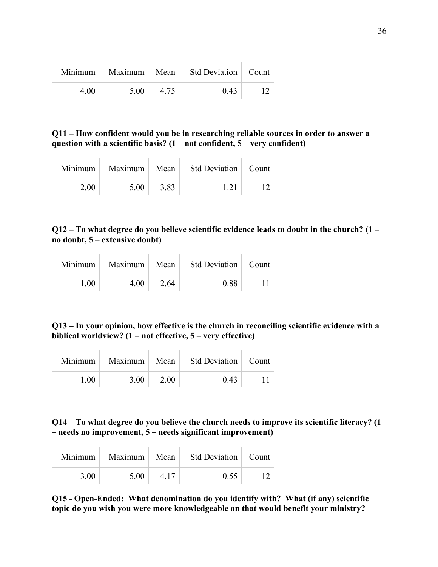|      |      |      | Minimum   Maximum   Mean   Std Deviation   Count |  |
|------|------|------|--------------------------------------------------|--|
| 4.00 | 5.00 | 4.75 | 0.43                                             |  |

**Q11 – How confident would you be in researching reliable sources in order to answer a question with a scientific basis? (1 – not confident, 5 – very confident)**

|      |      |      | Minimum Maximum Mean Std Deviation Count |  |
|------|------|------|------------------------------------------|--|
| 2.00 | 5.00 | 3.83 | 1.21                                     |  |

**Q12 – To what degree do you believe scientific evidence leads to doubt in the church? (1 – no doubt, 5 – extensive doubt)**

|      |      |      | Minimum   Maximum   Mean   Std Deviation   Count |  |
|------|------|------|--------------------------------------------------|--|
| 1.00 | 4.00 | 2.64 | 0.88                                             |  |

**Q13 – In your opinion, how effective is the church in reconciling scientific evidence with a biblical worldview? (1 – not effective, 5 – very effective)**

|      |      |      | Minimum Maximum Mean Std Deviation Count |  |
|------|------|------|------------------------------------------|--|
| 1.00 | 3.00 | 2.00 | 0.43                                     |  |

**Q14 – To what degree do you believe the church needs to improve its scientific literacy? (1 – needs no improvement, 5 – needs significant improvement)**

|      |      |      | Minimum   Maximum   Mean   Std Deviation   Count |  |
|------|------|------|--------------------------------------------------|--|
| 3.00 | 5.00 | 4.17 | 0.55                                             |  |

**Q15 - Open-Ended: What denomination do you identify with? What (if any) scientific topic do you wish you were more knowledgeable on that would benefit your ministry?**